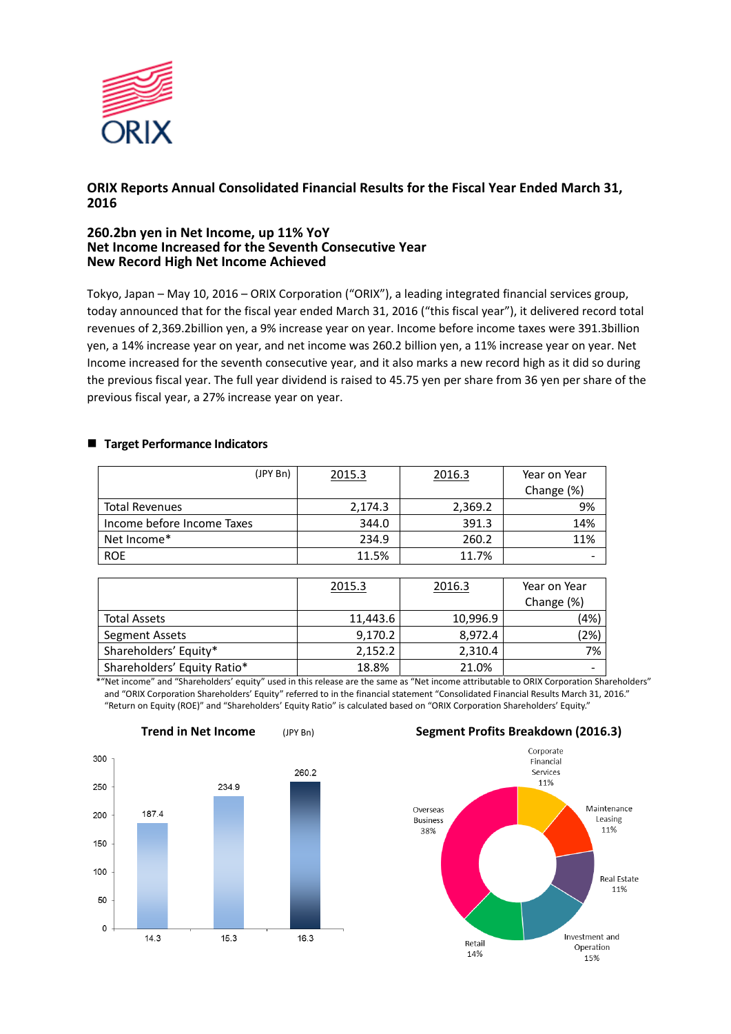

# **ORIX Reports Annual Consolidated Financial Results for the Fiscal Year Ended March 31, 2016**

## **260.2bn yen in Net Income, up 11% YoY Net Income Increased for the Seventh Consecutive Year New Record High Net Income Achieved**

Tokyo, Japan – May 10, 2016 – ORIX Corporation ("ORIX"), a leading integrated financial services group, today announced that for the fiscal year ended March 31, 2016 ("this fiscal year"), it delivered record total revenues of 2,369.2billion yen, a 9% increase year on year. Income before income taxes were 391.3billion yen, a 14% increase year on year, and net income was 260.2 billion yen, a 11% increase year on year. Net Income increased for the seventh consecutive year, and it also marks a new record high as it did so during the previous fiscal year. The full year dividend is raised to 45.75 yen per share from 36 yen per share of the previous fiscal year, a 27% increase year on year.

### ■ Target Performance Indicators

| (JPY Bn)                   | 2015.3  | 2016.3  | Year on Year |
|----------------------------|---------|---------|--------------|
|                            |         |         | Change (%)   |
| <b>Total Revenues</b>      | 2,174.3 | 2,369.2 | 9%           |
| Income before Income Taxes | 344.0   | 391.3   | 14%          |
| Net Income*                | 234.9   | 260.2   | 11%          |
| <b>ROE</b>                 | 11.5%   | 11.7%   |              |

|                             | 2015.3   | 2016.3   | Year on Year<br>Change (%) |
|-----------------------------|----------|----------|----------------------------|
| <b>Total Assets</b>         | 11,443.6 | 10,996.9 | (4%)                       |
| Segment Assets              | 9,170.2  | 8,972.4  | (2%)                       |
| Shareholders' Equity*       | 2,152.2  | 2,310.4  | 7%                         |
| Shareholders' Equity Ratio* | 18.8%    | 21.0%    |                            |

\*"Net income" and "Shareholders' equity" used in this release are the same as "Net income attributable to ORIX Corporation Shareholders" and "ORIX Corporation Shareholders' Equity" referred to in the financial statement "Consolidated Financial Results March 31, 2016." "Return on Equity (ROE)" and "Shareholders' Equity Ratio" is calculated based on "ORIX Corporation Shareholders' Equity."



#### **Trend in Net Income** (JPY Bn) **Segment Profits Breakdown (2016.3)**

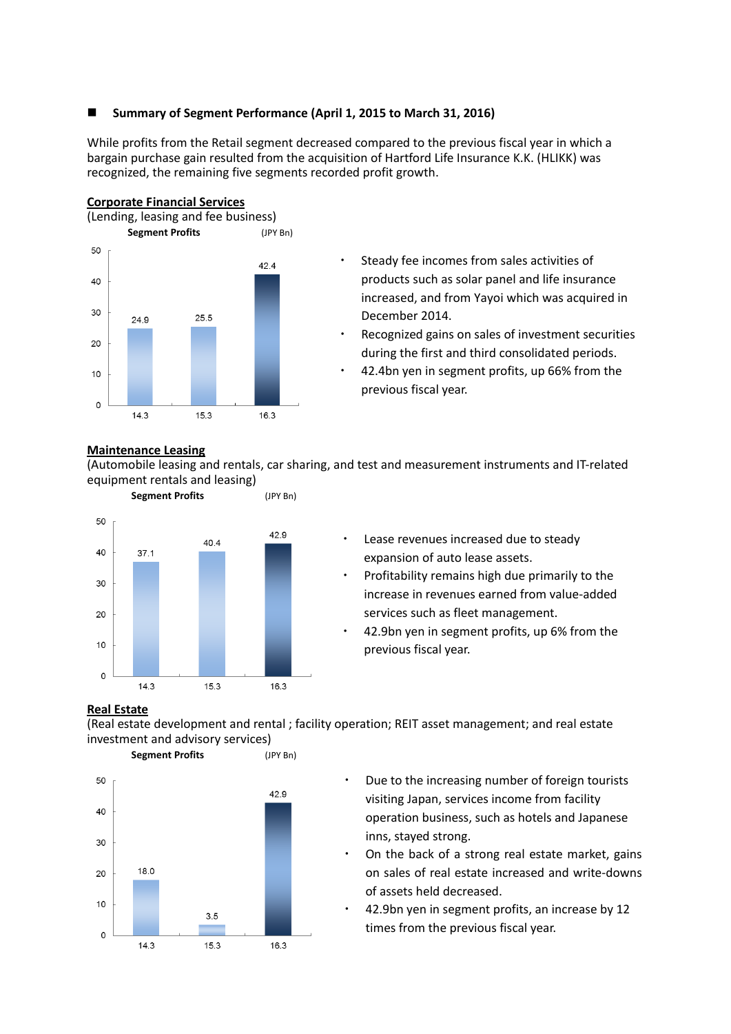## **Summary of Segment Performance (April 1, 2015 to March 31, 2016)**

While profits from the Retail segment decreased compared to the previous fiscal year in which a bargain purchase gain resulted from the acquisition of Hartford Life Insurance K.K. (HLIKK) was recognized, the remaining five segments recorded profit growth.



- Steady fee incomes from sales activities of products such as solar panel and life insurance increased, and from Yayoi which was acquired in December 2014.
- Recognized gains on sales of investment securities during the first and third consolidated periods.
- 42.4bn yen in segment profits, up 66% from the previous fiscal year.

#### **Maintenance Leasing**

(Automobile leasing and rentals, car sharing, and test and measurement instruments and IT-related equipment rentals and leasing)



- Lease revenues increased due to steady expansion of auto lease assets.
- Profitability remains high due primarily to the increase in revenues earned from value-added services such as fleet management.
- 42.9bn yen in segment profits, up 6% from the previous fiscal year.

### **Real Estate**

(Real estate development and rental ; facility operation; REIT asset management; and real estate investment and advisory services)



- Due to the increasing number of foreign tourists visiting Japan, services income from facility operation business, such as hotels and Japanese inns, stayed strong.
- On the back of a strong real estate market, gains on sales of real estate increased and write-downs of assets held decreased.
- 42.9bn yen in segment profits, an increase by 12 times from the previous fiscal year.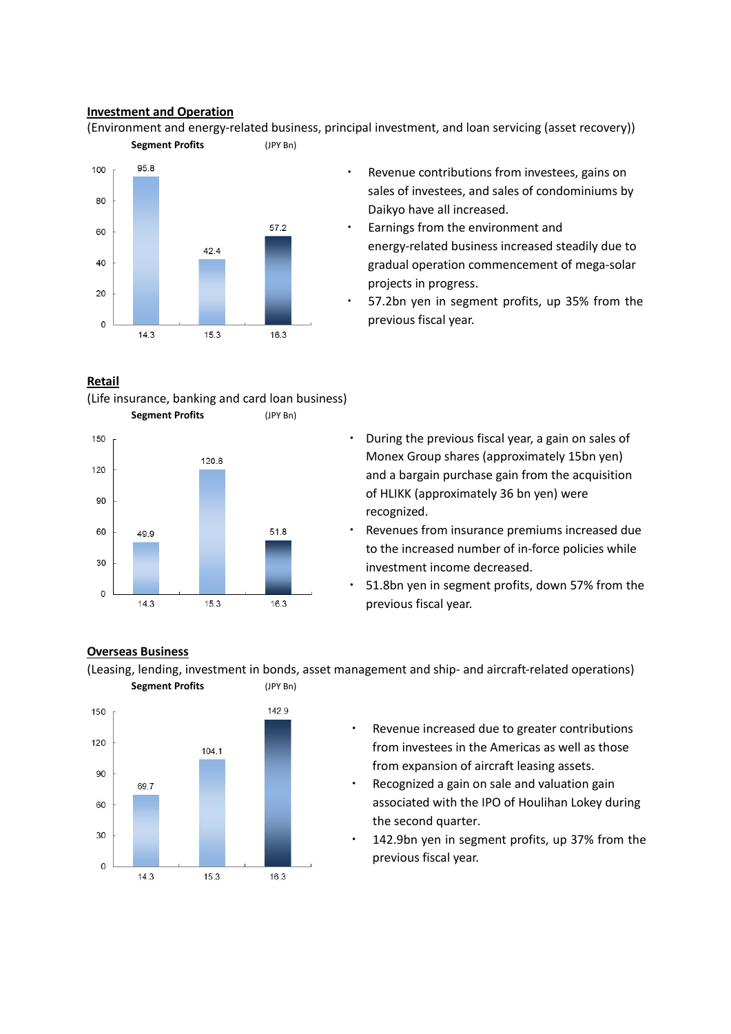### **Investment and Operation**

(Environment and energy-related business, principal investment, and loan servicing (asset recovery)) **Segment Profits** (JPY Bn)



# **Retail**





- Revenue contributions from investees, gains on sales of investees, and sales of condominiums by Daikyo have all increased.
- Earnings from the environment and energy-related business increased steadily due to gradual operation commencement of mega-solar projects in progress.
- 57.2bn yen in segment profits, up 35% from the previous fiscal year.
- ・ During the previous fiscal year, a gain on sales of Monex Group shares (approximately 15bn yen) and a bargain purchase gain from the acquisition of HLIKK (approximately 36 bn yen) were recognized.
- Revenues from insurance premiums increased due to the increased number of in-force policies while investment income decreased.
- 51.8bn yen in segment profits, down 57% from the previous fiscal year.

### **Overseas Business**

(Leasing, lending, investment in bonds, asset management and ship- and aircraft-related operations) **Segment Profits** (JPY Bn)



- Revenue increased due to greater contributions from investees in the Americas as well as those from expansion of aircraft leasing assets.
- Recognized a gain on sale and valuation gain associated with the IPO of Houlihan Lokey during the second quarter.
- 142.9bn yen in segment profits, up 37% from the previous fiscal year.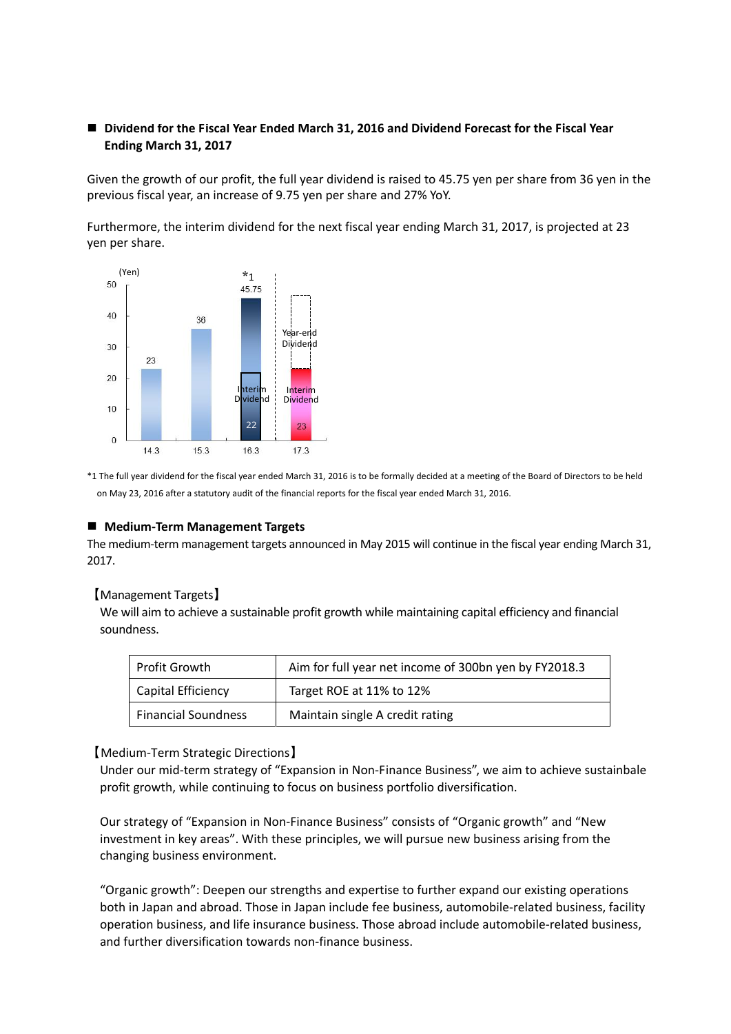# **Dividend for the Fiscal Year Ended March 31, 2016 and Dividend Forecast for the Fiscal Year Ending March 31, 2017**

Given the growth of our profit, the full year dividend is raised to 45.75 yen per share from 36 yen in the previous fiscal year, an increase of 9.75 yen per share and 27% YoY.

Furthermore, the interim dividend for the next fiscal year ending March 31, 2017, is projected at 23 yen per share.



\*1 The full year dividend for the fiscal year ended March 31, 2016 is to be formally decided at a meeting of the Board of Directors to be held on May 23, 2016 after a statutory audit of the financial reports for the fiscal year ended March 31, 2016.

#### **Medium-Term Management Targets**

The medium-term management targets announced in May 2015 will continue in the fiscal year ending March 31, 2017.

#### 【Management Targets】

We will aim to achieve a sustainable profit growth while maintaining capital efficiency and financial soundness.

| Profit Growth              | Aim for full year net income of 300bn yen by FY2018.3 |
|----------------------------|-------------------------------------------------------|
| Capital Efficiency         | Target ROE at 11% to 12%                              |
| <b>Financial Soundness</b> | Maintain single A credit rating                       |

#### 【Medium-Term Strategic Directions】

Under our mid-term strategy of "Expansion in Non-Finance Business", we aim to achieve sustainbale profit growth, while continuing to focus on business portfolio diversification.

Our strategy of "Expansion in Non-Finance Business" consists of "Organic growth" and "New investment in key areas". With these principles, we will pursue new business arising from the changing business environment.

"Organic growth": Deepen our strengths and expertise to further expand our existing operations both in Japan and abroad. Those in Japan include fee business, automobile-related business, facility operation business, and life insurance business. Those abroad include automobile-related business, and further diversification towards non-finance business.